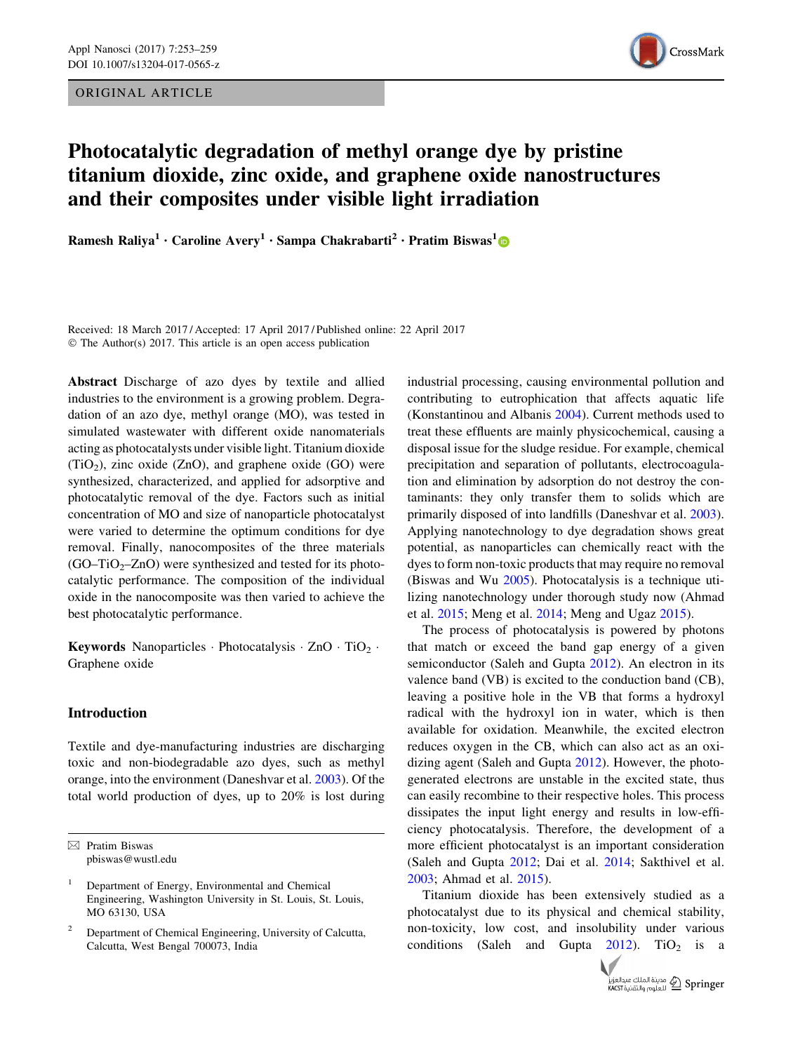ORIGINAL ARTICLE



# Photocatalytic degradation of methyl orange dye by pristine titanium dioxide, zinc oxide, and graphene oxide nanostructures and their composites under visible light irradiation

Ramesh Raliya<sup>1</sup> • Caroline Avery<sup>1</sup> • Sampa Chakrabarti<sup>2</sup> • Pratim Biswas<sup>1</sup>

Received: 18 March 2017 / Accepted: 17 April 2017 / Published online: 22 April 2017 © The Author(s) 2017. This article is an open access publication

Abstract Discharge of azo dyes by textile and allied industries to the environment is a growing problem. Degradation of an azo dye, methyl orange (MO), was tested in simulated wastewater with different oxide nanomaterials acting as photocatalysts under visible light. Titanium dioxide (TiO<sub>2</sub>), zinc oxide (ZnO), and graphene oxide (GO) were synthesized, characterized, and applied for adsorptive and photocatalytic removal of the dye. Factors such as initial concentration of MO and size of nanoparticle photocatalyst were varied to determine the optimum conditions for dye removal. Finally, nanocomposites of the three materials  $(GO-TiO<sub>2</sub>-ZnO)$  were synthesized and tested for its photocatalytic performance. The composition of the individual oxide in the nanocomposite was then varied to achieve the best photocatalytic performance.

**Keywords** Nanoparticles · Photocatalysis ·  $ZnO$  ·  $TiO<sub>2</sub>$  · Graphene oxide

## Introduction

Textile and dye-manufacturing industries are discharging toxic and non-biodegradable azo dyes, such as methyl orange, into the environment (Daneshvar et al. [2003](#page-5-0)). Of the total world production of dyes, up to 20% is lost during

 $\boxtimes$  Pratim Biswas pbiswas@wustl.edu industrial processing, causing environmental pollution and contributing to eutrophication that affects aquatic life (Konstantinou and Albanis [2004\)](#page-5-0). Current methods used to treat these effluents are mainly physicochemical, causing a disposal issue for the sludge residue. For example, chemical precipitation and separation of pollutants, electrocoagulation and elimination by adsorption do not destroy the contaminants: they only transfer them to solids which are primarily disposed of into landfills (Daneshvar et al. [2003](#page-5-0)). Applying nanotechnology to dye degradation shows great potential, as nanoparticles can chemically react with the dyes to form non-toxic products that may require no removal (Biswas and Wu [2005](#page-5-0)). Photocatalysis is a technique utilizing nanotechnology under thorough study now (Ahmad et al. [2015;](#page-5-0) Meng et al. [2014;](#page-5-0) Meng and Ugaz [2015\)](#page-5-0).

The process of photocatalysis is powered by photons that match or exceed the band gap energy of a given semiconductor (Saleh and Gupta [2012](#page-5-0)). An electron in its valence band (VB) is excited to the conduction band (CB), leaving a positive hole in the VB that forms a hydroxyl radical with the hydroxyl ion in water, which is then available for oxidation. Meanwhile, the excited electron reduces oxygen in the CB, which can also act as an oxidizing agent (Saleh and Gupta [2012](#page-5-0)). However, the photogenerated electrons are unstable in the excited state, thus can easily recombine to their respective holes. This process dissipates the input light energy and results in low-efficiency photocatalysis. Therefore, the development of a more efficient photocatalyst is an important consideration (Saleh and Gupta [2012](#page-5-0); Dai et al. [2014](#page-5-0); Sakthivel et al. [2003](#page-5-0); Ahmad et al. [2015\)](#page-5-0).

Titanium dioxide has been extensively studied as a photocatalyst due to its physical and chemical stability, non-toxicity, low cost, and insolubility under various conditions (Saleh and Gupta  $2012$ ). TiO<sub>2</sub> is a



<sup>1</sup> Department of Energy, Environmental and Chemical Engineering, Washington University in St. Louis, St. Louis, MO 63130, USA

<sup>2</sup> Department of Chemical Engineering, University of Calcutta, Calcutta, West Bengal 700073, India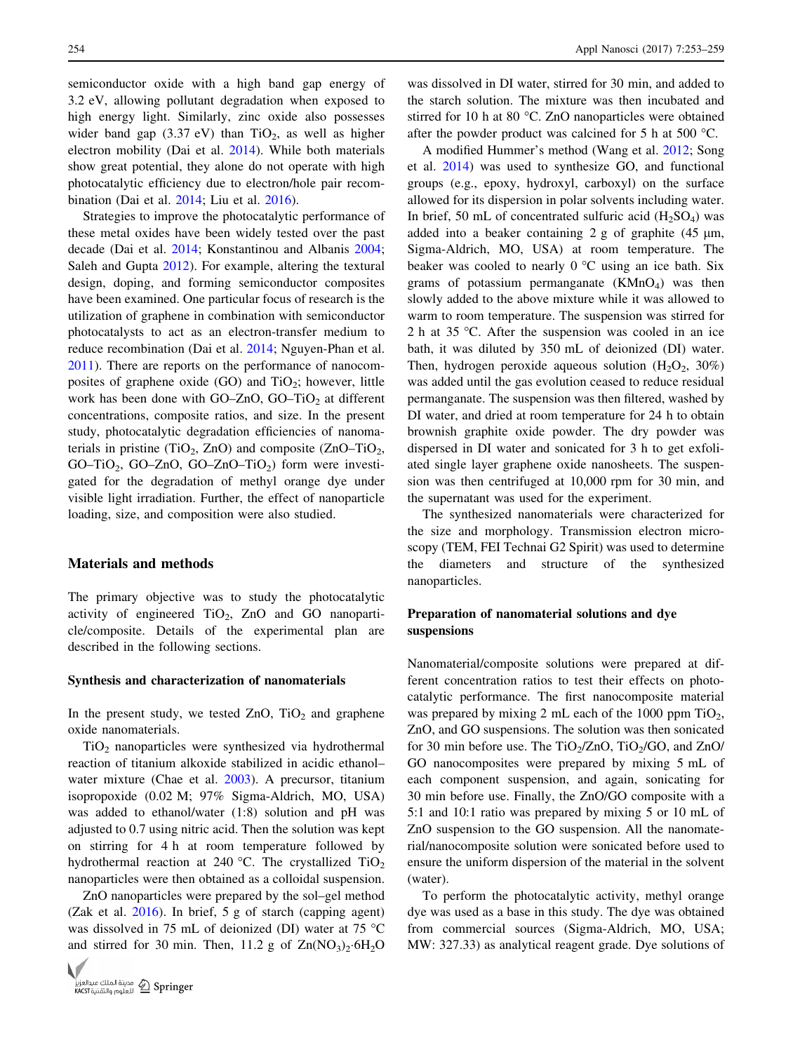semiconductor oxide with a high band gap energy of 3.2 eV, allowing pollutant degradation when exposed to high energy light. Similarly, zinc oxide also possesses wider band gap  $(3.37 \text{ eV})$  than TiO<sub>2</sub>, as well as higher electron mobility (Dai et al. [2014](#page-5-0)). While both materials show great potential, they alone do not operate with high photocatalytic efficiency due to electron/hole pair recombination (Dai et al. [2014;](#page-5-0) Liu et al. [2016](#page-5-0)).

Strategies to improve the photocatalytic performance of these metal oxides have been widely tested over the past decade (Dai et al. [2014;](#page-5-0) Konstantinou and Albanis [2004](#page-5-0); Saleh and Gupta [2012](#page-5-0)). For example, altering the textural design, doping, and forming semiconductor composites have been examined. One particular focus of research is the utilization of graphene in combination with semiconductor photocatalysts to act as an electron-transfer medium to reduce recombination (Dai et al. [2014](#page-5-0); Nguyen-Phan et al. [2011\)](#page-5-0). There are reports on the performance of nanocomposites of graphene oxide  $(GO)$  and  $TiO<sub>2</sub>$ ; however, little work has been done with GO–ZnO, GO–TiO<sub>2</sub> at different concentrations, composite ratios, and size. In the present study, photocatalytic degradation efficiencies of nanomaterials in pristine (TiO<sub>2</sub>, ZnO) and composite (ZnO–TiO<sub>2</sub>, GO–TiO<sub>2</sub>, GO–ZnO, GO–ZnO–TiO<sub>2</sub>) form were investigated for the degradation of methyl orange dye under visible light irradiation. Further, the effect of nanoparticle loading, size, and composition were also studied.

### Materials and methods

The primary objective was to study the photocatalytic activity of engineered  $TiO<sub>2</sub>$ , ZnO and GO nanoparticle/composite. Details of the experimental plan are described in the following sections.

### Synthesis and characterization of nanomaterials

In the present study, we tested  $ZnO$ ,  $TiO<sub>2</sub>$  and graphene oxide nanomaterials.

 $TiO<sub>2</sub>$  nanoparticles were synthesized via hydrothermal reaction of titanium alkoxide stabilized in acidic ethanol– water mixture (Chae et al. [2003\)](#page-5-0). A precursor, titanium isopropoxide (0.02 M; 97% Sigma-Aldrich, MO, USA) was added to ethanol/water (1:8) solution and pH was adjusted to 0.7 using nitric acid. Then the solution was kept on stirring for 4 h at room temperature followed by hydrothermal reaction at 240 °C. The crystallized  $TiO<sub>2</sub>$ nanoparticles were then obtained as a colloidal suspension.

ZnO nanoparticles were prepared by the sol–gel method (Zak et al. [2016](#page-6-0)). In brief, 5 g of starch (capping agent) was dissolved in 75 mL of deionized (DI) water at 75  $^{\circ}$ C and stirred for 30 min. Then, 11.2 g of  $Zn(NO<sub>3</sub>)<sub>2</sub>·6H<sub>2</sub>O$ 



was dissolved in DI water, stirred for 30 min, and added to the starch solution. The mixture was then incubated and stirred for 10 h at 80  $\degree$ C. ZnO nanoparticles were obtained after the powder product was calcined for 5 h at 500  $^{\circ}$ C.

A modified Hummer's method (Wang et al. [2012](#page-6-0); Song et al. [2014\)](#page-6-0) was used to synthesize GO, and functional groups (e.g., epoxy, hydroxyl, carboxyl) on the surface allowed for its dispersion in polar solvents including water. In brief, 50 mL of concentrated sulfuric acid  $(H_2SO_4)$  was added into a beaker containing  $2 g$  of graphite (45  $\mu$ m, Sigma-Aldrich, MO, USA) at room temperature. The beaker was cooled to nearly  $0^{\circ}$ C using an ice bath. Six grams of potassium permanganate  $(KMnO<sub>4</sub>)$  was then slowly added to the above mixture while it was allowed to warm to room temperature. The suspension was stirred for 2 h at 35 °C. After the suspension was cooled in an ice bath, it was diluted by 350 mL of deionized (DI) water. Then, hydrogen peroxide aqueous solution  $(H_2O_2, 30\%)$ was added until the gas evolution ceased to reduce residual permanganate. The suspension was then filtered, washed by DI water, and dried at room temperature for 24 h to obtain brownish graphite oxide powder. The dry powder was dispersed in DI water and sonicated for 3 h to get exfoliated single layer graphene oxide nanosheets. The suspension was then centrifuged at 10,000 rpm for 30 min, and the supernatant was used for the experiment.

The synthesized nanomaterials were characterized for the size and morphology. Transmission electron microscopy (TEM, FEI Technai G2 Spirit) was used to determine the diameters and structure of the synthesized nanoparticles.

## Preparation of nanomaterial solutions and dye suspensions

Nanomaterial/composite solutions were prepared at different concentration ratios to test their effects on photocatalytic performance. The first nanocomposite material was prepared by mixing 2 mL each of the 1000 ppm  $TiO<sub>2</sub>$ , ZnO, and GO suspensions. The solution was then sonicated for 30 min before use. The TiO<sub>2</sub>/ZnO, TiO<sub>2</sub>/GO, and ZnO/ GO nanocomposites were prepared by mixing 5 mL of each component suspension, and again, sonicating for 30 min before use. Finally, the ZnO/GO composite with a 5:1 and 10:1 ratio was prepared by mixing 5 or 10 mL of ZnO suspension to the GO suspension. All the nanomaterial/nanocomposite solution were sonicated before used to ensure the uniform dispersion of the material in the solvent (water).

To perform the photocatalytic activity, methyl orange dye was used as a base in this study. The dye was obtained from commercial sources (Sigma-Aldrich, MO, USA; MW: 327.33) as analytical reagent grade. Dye solutions of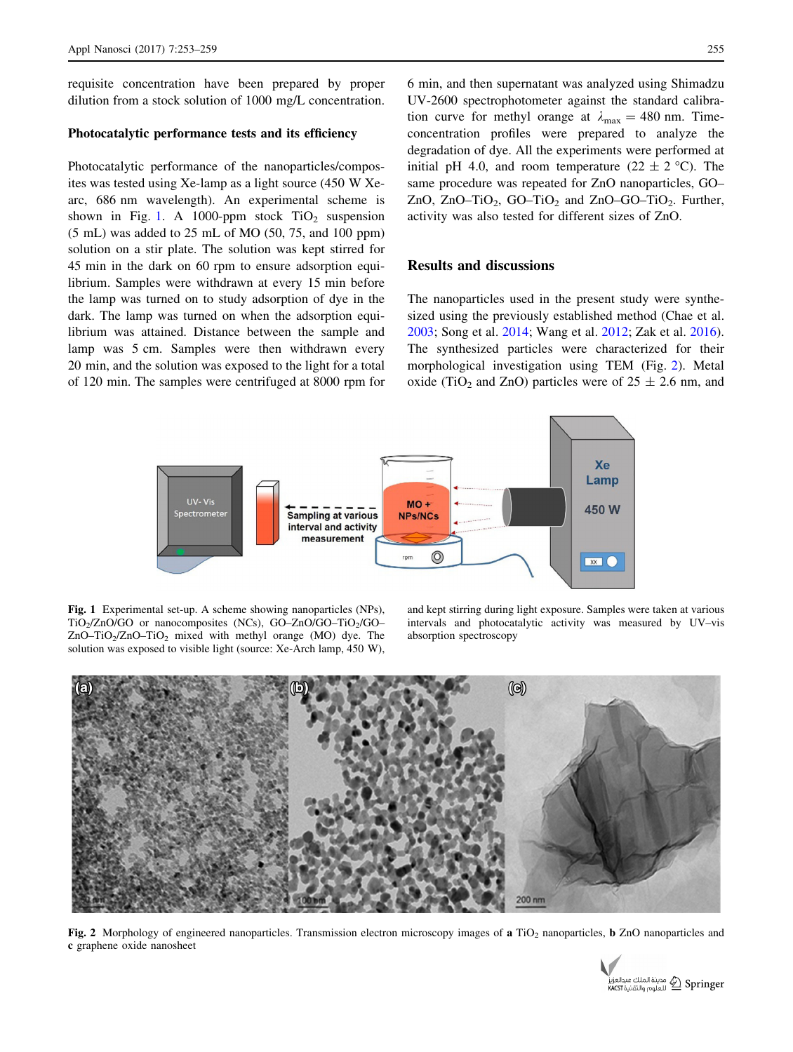requisite concentration have been prepared by proper dilution from a stock solution of 1000 mg/L concentration.

## Photocatalytic performance tests and its efficiency

Photocatalytic performance of the nanoparticles/composites was tested using Xe-lamp as a light source (450 W Xearc, 686 nm wavelength). An experimental scheme is shown in Fig. 1. A 1000-ppm stock  $TiO<sub>2</sub>$  suspension (5 mL) was added to 25 mL of MO (50, 75, and 100 ppm) solution on a stir plate. The solution was kept stirred for 45 min in the dark on 60 rpm to ensure adsorption equilibrium. Samples were withdrawn at every 15 min before the lamp was turned on to study adsorption of dye in the dark. The lamp was turned on when the adsorption equilibrium was attained. Distance between the sample and lamp was 5 cm. Samples were then withdrawn every 20 min, and the solution was exposed to the light for a total of 120 min. The samples were centrifuged at 8000 rpm for 6 min, and then supernatant was analyzed using Shimadzu UV-2600 spectrophotometer against the standard calibration curve for methyl orange at  $\lambda_{\text{max}} = 480$  nm. Timeconcentration profiles were prepared to analyze the degradation of dye. All the experiments were performed at initial pH 4.0, and room temperature  $(22 \pm 2 \degree C)$ . The same procedure was repeated for ZnO nanoparticles, GO– ZnO, ZnO–TiO<sub>2</sub>, GO–TiO<sub>2</sub> and ZnO–GO–TiO<sub>2</sub>. Further, activity was also tested for different sizes of ZnO.

#### Results and discussions

The nanoparticles used in the present study were synthesized using the previously established method (Chae et al. [2003](#page-5-0); Song et al. [2014](#page-6-0); Wang et al. [2012](#page-6-0); Zak et al. [2016](#page-6-0)). The synthesized particles were characterized for their morphological investigation using TEM (Fig. 2). Metal oxide (TiO<sub>2</sub> and ZnO) particles were of  $25 \pm 2.6$  nm, and



Fig. 1 Experimental set-up. A scheme showing nanoparticles (NPs), TiO<sub>2</sub>/ZnO/GO or nanocomposites (NCs), GO–ZnO/GO–TiO<sub>2</sub>/GO–  $ZnO-TiO<sub>2</sub>/ZnO-TiO<sub>2</sub>$  mixed with methyl orange (MO) dye. The solution was exposed to visible light (source: Xe-Arch lamp, 450 W),

and kept stirring during light exposure. Samples were taken at various intervals and photocatalytic activity was measured by UV–vis absorption spectroscopy



Fig. 2 Morphology of engineered nanoparticles. Transmission electron microscopy images of a TiO<sub>2</sub> nanoparticles, b ZnO nanoparticles and c graphene oxide nanosheet

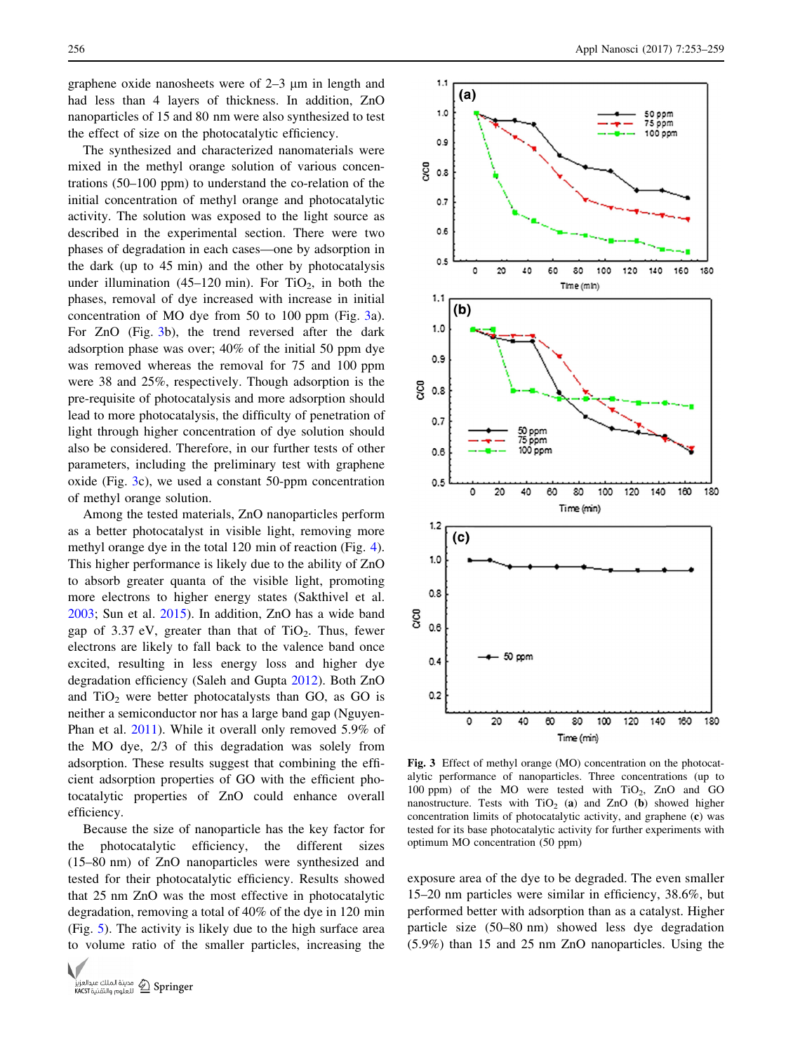graphene oxide nanosheets were of  $2-3$  um in length and had less than 4 layers of thickness. In addition, ZnO nanoparticles of 15 and 80 nm were also synthesized to test the effect of size on the photocatalytic efficiency.

The synthesized and characterized nanomaterials were mixed in the methyl orange solution of various concentrations (50–100 ppm) to understand the co-relation of the initial concentration of methyl orange and photocatalytic activity. The solution was exposed to the light source as described in the experimental section. There were two phases of degradation in each cases—one by adsorption in the dark (up to 45 min) and the other by photocatalysis under illumination (45–120 min). For  $TiO<sub>2</sub>$ , in both the phases, removal of dye increased with increase in initial concentration of MO dye from 50 to 100 ppm (Fig. 3a). For ZnO (Fig. 3b), the trend reversed after the dark adsorption phase was over; 40% of the initial 50 ppm dye was removed whereas the removal for 75 and 100 ppm were 38 and 25%, respectively. Though adsorption is the pre-requisite of photocatalysis and more adsorption should lead to more photocatalysis, the difficulty of penetration of light through higher concentration of dye solution should also be considered. Therefore, in our further tests of other parameters, including the preliminary test with graphene oxide (Fig. 3c), we used a constant 50-ppm concentration of methyl orange solution.

Among the tested materials, ZnO nanoparticles perform as a better photocatalyst in visible light, removing more methyl orange dye in the total 120 min of reaction (Fig. [4](#page-4-0)). This higher performance is likely due to the ability of ZnO to absorb greater quanta of the visible light, promoting more electrons to higher energy states (Sakthivel et al. [2003;](#page-5-0) Sun et al. [2015](#page-6-0)). In addition, ZnO has a wide band gap of  $3.37$  eV, greater than that of TiO<sub>2</sub>. Thus, fewer electrons are likely to fall back to the valence band once excited, resulting in less energy loss and higher dye degradation efficiency (Saleh and Gupta [2012\)](#page-5-0). Both ZnO and  $TiO<sub>2</sub>$  were better photocatalysts than GO, as GO is neither a semiconductor nor has a large band gap (Nguyen-Phan et al. [2011\)](#page-5-0). While it overall only removed 5.9% of the MO dye, 2/3 of this degradation was solely from adsorption. These results suggest that combining the efficient adsorption properties of GO with the efficient photocatalytic properties of ZnO could enhance overall efficiency.

Because the size of nanoparticle has the key factor for the photocatalytic efficiency, the different sizes (15–80 nm) of ZnO nanoparticles were synthesized and tested for their photocatalytic efficiency. Results showed that 25 nm ZnO was the most effective in photocatalytic degradation, removing a total of 40% of the dye in 120 min (Fig. [5](#page-4-0)). The activity is likely due to the high surface area to volume ratio of the smaller particles, increasing the





Fig. 3 Effect of methyl orange (MO) concentration on the photocatalytic performance of nanoparticles. Three concentrations (up to 100 ppm) of the MO were tested with  $TiO<sub>2</sub>$ ,  $ZnO$  and  $GO$ nanostructure. Tests with  $TiO<sub>2</sub>$  (a) and ZnO (b) showed higher concentration limits of photocatalytic activity, and graphene (c) was tested for its base photocatalytic activity for further experiments with optimum MO concentration (50 ppm)

exposure area of the dye to be degraded. The even smaller 15–20 nm particles were similar in efficiency, 38.6%, but performed better with adsorption than as a catalyst. Higher particle size (50–80 nm) showed less dye degradation (5.9%) than 15 and 25 nm ZnO nanoparticles. Using the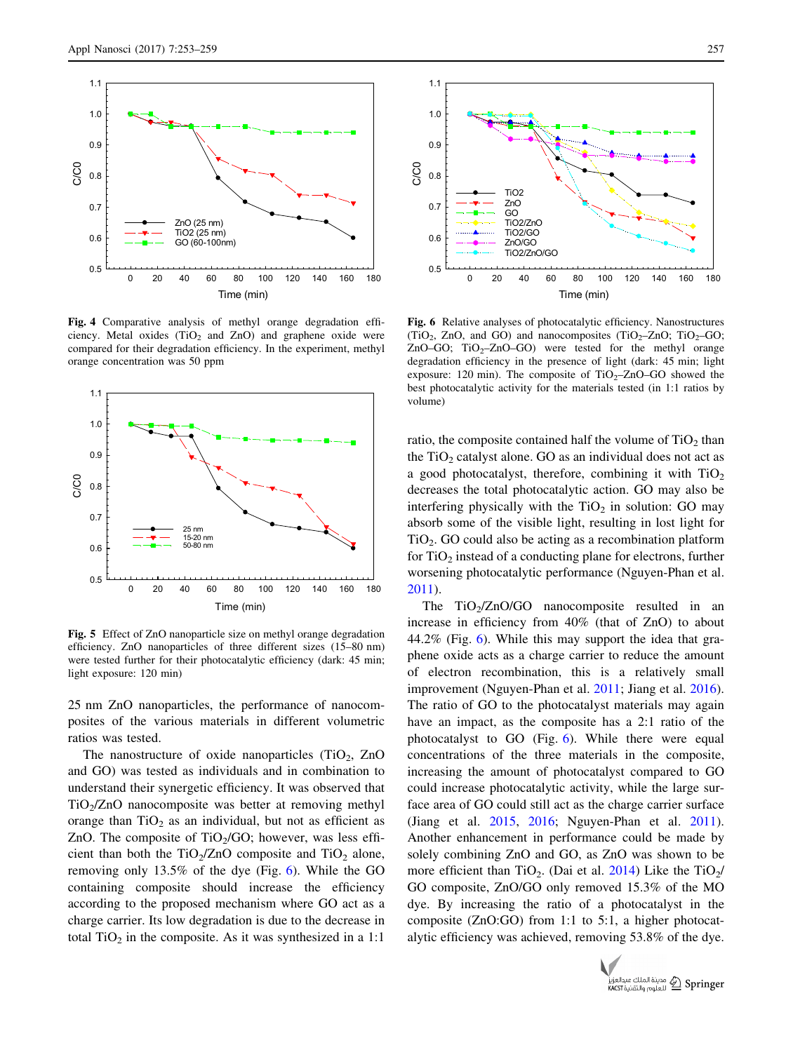<span id="page-4-0"></span>

Fig. 4 Comparative analysis of methyl orange degradation efficiency. Metal oxides  $(TiO<sub>2</sub>)$  and  $ZnO$  and graphene oxide were compared for their degradation efficiency. In the experiment, methyl orange concentration was 50 ppm



Fig. 5 Effect of ZnO nanoparticle size on methyl orange degradation efficiency. ZnO nanoparticles of three different sizes (15–80 nm) were tested further for their photocatalytic efficiency (dark: 45 min; light exposure: 120 min)

25 nm ZnO nanoparticles, the performance of nanocomposites of the various materials in different volumetric ratios was tested.

The nanostructure of oxide nanoparticles  $(TiO<sub>2</sub>, ZnO)$ and GO) was tested as individuals and in combination to understand their synergetic efficiency. It was observed that  $TiO<sub>2</sub>/ZnO$  nanocomposite was better at removing methyl orange than  $TiO<sub>2</sub>$  as an individual, but not as efficient as ZnO. The composite of  $TiO<sub>2</sub>/GO$ ; however, was less efficient than both the TiO<sub>2</sub>/ZnO composite and TiO<sub>2</sub> alone, removing only 13.5% of the dye (Fig. 6). While the GO containing composite should increase the efficiency according to the proposed mechanism where GO act as a charge carrier. Its low degradation is due to the decrease in total  $TiO<sub>2</sub>$  in the composite. As it was synthesized in a 1:1



Fig. 6 Relative analyses of photocatalytic efficiency. Nanostructures (TiO<sub>2</sub>, ZnO, and GO) and nanocomposites (TiO<sub>2</sub>–ZnO; TiO<sub>2</sub>–GO; ZnO–GO;  $TiO<sub>2</sub>$ –ZnO–GO) were tested for the methyl orange degradation efficiency in the presence of light (dark: 45 min; light exposure: 120 min). The composite of  $TiO<sub>2</sub>–ZnO–GO$  showed the best photocatalytic activity for the materials tested (in 1:1 ratios by volume)

ratio, the composite contained half the volume of  $TiO<sub>2</sub>$  than the  $TiO<sub>2</sub>$  catalyst alone. GO as an individual does not act as a good photocatalyst, therefore, combining it with  $TiO<sub>2</sub>$ decreases the total photocatalytic action. GO may also be interfering physically with the  $TiO<sub>2</sub>$  in solution: GO may absorb some of the visible light, resulting in lost light for  $TiO<sub>2</sub>$ . GO could also be acting as a recombination platform for  $TiO<sub>2</sub>$  instead of a conducting plane for electrons, further worsening photocatalytic performance (Nguyen-Phan et al. [2011](#page-5-0)).

The  $TiO<sub>2</sub>/ZnO/GO$  nanocomposite resulted in an increase in efficiency from 40% (that of ZnO) to about 44.2% (Fig. 6). While this may support the idea that graphene oxide acts as a charge carrier to reduce the amount of electron recombination, this is a relatively small improvement (Nguyen-Phan et al. [2011](#page-5-0); Jiang et al. [2016](#page-5-0)). The ratio of GO to the photocatalyst materials may again have an impact, as the composite has a 2:1 ratio of the photocatalyst to GO (Fig. 6). While there were equal concentrations of the three materials in the composite, increasing the amount of photocatalyst compared to GO could increase photocatalytic activity, while the large surface area of GO could still act as the charge carrier surface (Jiang et al. [2015,](#page-5-0) [2016;](#page-5-0) Nguyen-Phan et al. [2011](#page-5-0)). Another enhancement in performance could be made by solely combining ZnO and GO, as ZnO was shown to be more efficient than TiO<sub>2</sub>. (Dai et al. [2014\)](#page-5-0) Like the TiO<sub>2</sub> GO composite, ZnO/GO only removed 15.3% of the MO dye. By increasing the ratio of a photocatalyst in the composite (ZnO:GO) from 1:1 to 5:1, a higher photocatalytic efficiency was achieved, removing 53.8% of the dye.

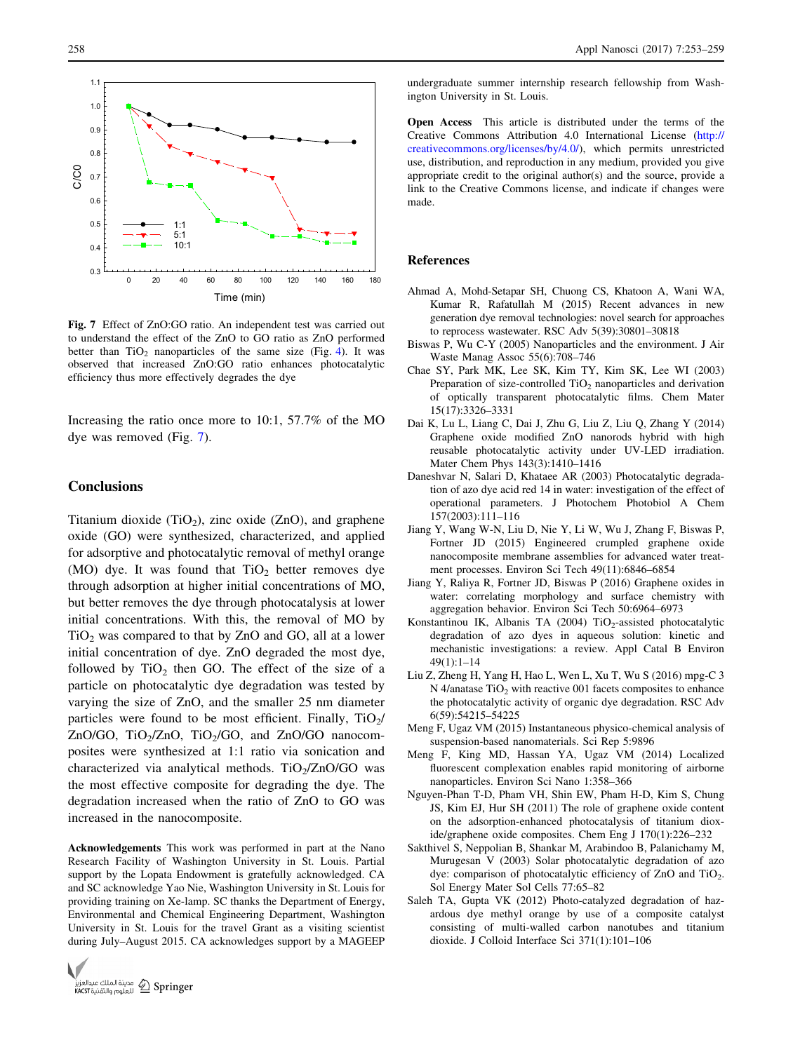<span id="page-5-0"></span>

Fig. 7 Effect of ZnO:GO ratio. An independent test was carried out to understand the effect of the ZnO to GO ratio as ZnO performed better than  $TiO<sub>2</sub>$  nanoparticles of the same size (Fig. [4](#page-4-0)). It was observed that increased ZnO:GO ratio enhances photocatalytic efficiency thus more effectively degrades the dye

Increasing the ratio once more to 10:1, 57.7% of the MO dye was removed (Fig. 7).

## **Conclusions**

Titanium dioxide  $(TiO_2)$ , zinc oxide  $(ZnO)$ , and graphene oxide (GO) were synthesized, characterized, and applied for adsorptive and photocatalytic removal of methyl orange (MO) dye. It was found that  $TiO<sub>2</sub>$  better removes dye through adsorption at higher initial concentrations of MO, but better removes the dye through photocatalysis at lower initial concentrations. With this, the removal of MO by  $TiO<sub>2</sub>$  was compared to that by ZnO and GO, all at a lower initial concentration of dye. ZnO degraded the most dye, followed by  $TiO<sub>2</sub>$  then GO. The effect of the size of a particle on photocatalytic dye degradation was tested by varying the size of ZnO, and the smaller 25 nm diameter particles were found to be most efficient. Finally,  $TiO<sub>2</sub>/$ ZnO/GO, TiO<sub>2</sub>/ZnO, TiO<sub>2</sub>/GO, and ZnO/GO nanocomposites were synthesized at 1:1 ratio via sonication and characterized via analytical methods.  $TiO<sub>2</sub>/ZnO/GO$  was the most effective composite for degrading the dye. The degradation increased when the ratio of ZnO to GO was increased in the nanocomposite.

Acknowledgements This work was performed in part at the Nano Research Facility of Washington University in St. Louis. Partial support by the Lopata Endowment is gratefully acknowledged. CA and SC acknowledge Yao Nie, Washington University in St. Louis for providing training on Xe-lamp. SC thanks the Department of Energy, Environmental and Chemical Engineering Department, Washington University in St. Louis for the travel Grant as a visiting scientist during July–August 2015. CA acknowledges support by a MAGEEP



undergraduate summer internship research fellowship from Washington University in St. Louis.

Open Access This article is distributed under the terms of the Creative Commons Attribution 4.0 International License ([http://](http://creativecommons.org/licenses/by/4.0/) [creativecommons.org/licenses/by/4.0/](http://creativecommons.org/licenses/by/4.0/)), which permits unrestricted use, distribution, and reproduction in any medium, provided you give appropriate credit to the original author(s) and the source, provide a link to the Creative Commons license, and indicate if changes were made.

#### References

- Ahmad A, Mohd-Setapar SH, Chuong CS, Khatoon A, Wani WA, Kumar R, Rafatullah M (2015) Recent advances in new generation dye removal technologies: novel search for approaches to reprocess wastewater. RSC Adv 5(39):30801–30818
- Biswas P, Wu C-Y (2005) Nanoparticles and the environment. J Air Waste Manag Assoc 55(6):708–746
- Chae SY, Park MK, Lee SK, Kim TY, Kim SK, Lee WI (2003) Preparation of size-controlled  $TiO<sub>2</sub>$  nanoparticles and derivation of optically transparent photocatalytic films. Chem Mater 15(17):3326–3331
- Dai K, Lu L, Liang C, Dai J, Zhu G, Liu Z, Liu Q, Zhang Y (2014) Graphene oxide modified ZnO nanorods hybrid with high reusable photocatalytic activity under UV-LED irradiation. Mater Chem Phys 143(3):1410–1416
- Daneshvar N, Salari D, Khataee AR (2003) Photocatalytic degradation of azo dye acid red 14 in water: investigation of the effect of operational parameters. J Photochem Photobiol A Chem 157(2003):111–116
- Jiang Y, Wang W-N, Liu D, Nie Y, Li W, Wu J, Zhang F, Biswas P, Fortner JD (2015) Engineered crumpled graphene oxide nanocomposite membrane assemblies for advanced water treatment processes. Environ Sci Tech 49(11):6846–6854
- Jiang Y, Raliya R, Fortner JD, Biswas P (2016) Graphene oxides in water: correlating morphology and surface chemistry with aggregation behavior. Environ Sci Tech 50:6964–6973
- Konstantinou IK, Albanis TA (2004) TiO<sub>2</sub>-assisted photocatalytic degradation of azo dyes in aqueous solution: kinetic and mechanistic investigations: a review. Appl Catal B Environ 49(1):1–14
- Liu Z, Zheng H, Yang H, Hao L, Wen L, Xu T, Wu S (2016) mpg-C 3 N 4/anatase  $TiO<sub>2</sub>$  with reactive 001 facets composites to enhance the photocatalytic activity of organic dye degradation. RSC Adv 6(59):54215–54225
- Meng F, Ugaz VM (2015) Instantaneous physico-chemical analysis of suspension-based nanomaterials. Sci Rep 5:9896
- Meng F, King MD, Hassan YA, Ugaz VM (2014) Localized fluorescent complexation enables rapid monitoring of airborne nanoparticles. Environ Sci Nano 1:358–366
- Nguyen-Phan T-D, Pham VH, Shin EW, Pham H-D, Kim S, Chung JS, Kim EJ, Hur SH (2011) The role of graphene oxide content on the adsorption-enhanced photocatalysis of titanium dioxide/graphene oxide composites. Chem Eng J 170(1):226–232
- Sakthivel S, Neppolian B, Shankar M, Arabindoo B, Palanichamy M, Murugesan V (2003) Solar photocatalytic degradation of azo dye: comparison of photocatalytic efficiency of ZnO and TiO<sub>2</sub>. Sol Energy Mater Sol Cells 77:65–82
- Saleh TA, Gupta VK (2012) Photo-catalyzed degradation of hazardous dye methyl orange by use of a composite catalyst consisting of multi-walled carbon nanotubes and titanium dioxide. J Colloid Interface Sci 371(1):101–106